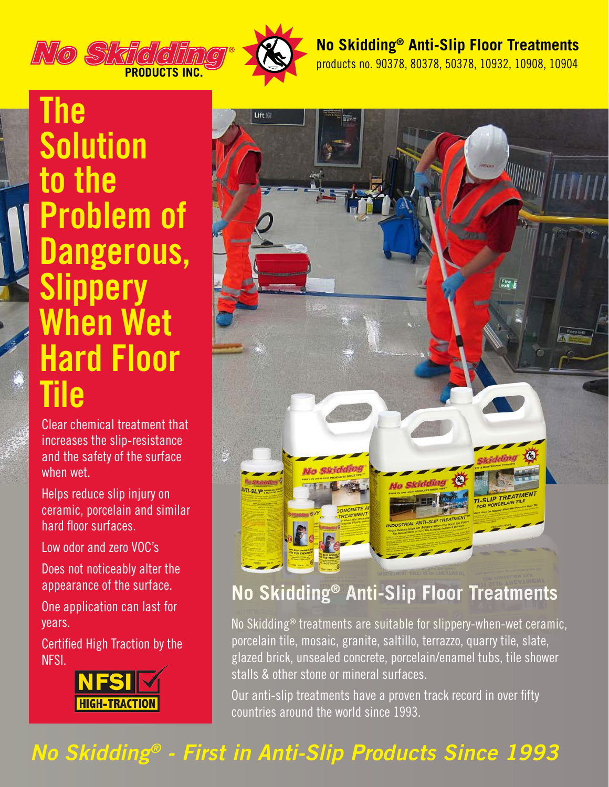

### **No Skidding® Anti-Slip Floor Treatments**

products no. 90378, 80378, 50378, 10932, 10908, 10904

# **The Solution to the Problem of Dangerous, Slippery When Wet Hard Floor Tile**

Clear chemical treatment that increases the slip-resistance and the safety of the surface when wet.

Helps reduce slip injury on ceramic, porcelain and similar hard floor surfaces.

Low odor and zero VOC's

Does not noticeably alter the appearance of the surface.

One application can last for years.

Certified High Traction by the NFSI.





## **No Skidding® Anti-Slip Floor Treatments**

No Skidding® treatments are suitable for slippery-when-wet ceramic, porcelain tile, mosaic, granite, saltillo, terrazzo, quarry tile, slate, glazed brick, unsealed concrete, porcelain/enamel tubs, tile shower stalls & other stone or mineral surfaces.

Our anti-slip treatments have a proven track record in over fifty countries around the world since 1993.

## *No Skidding® - First in Anti-Slip Products Since 1993*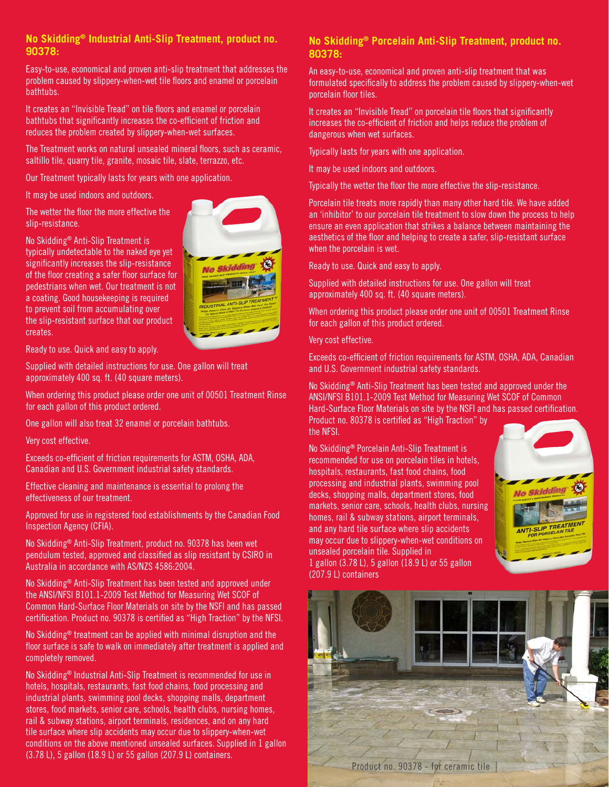#### **No Skidding® Industrial Anti-Slip Treatment, product no. 90378:**

Easy-to-use, economical and proven anti-slip treatment that addresses the problem caused by slippery-when-wet tile floors and enamel or porcelain bathtubs.

It creates an "Invisible Tread" on tile floors and enamel or porcelain bathtubs that significantly increases the co-efficient of friction and reduces the problem created by slippery-when-wet surfaces.

The Treatment works on natural unsealed mineral floors, such as ceramic, saltillo tile, quarry tile, granite, mosaic tile, slate, terrazzo, etc.

Our Treatment typically lasts for years with one application.

It may be used indoors and outdoors.

The wetter the floor the more effective the slip-resistance.

No Skidding® Anti-Slip Treatment is typically undetectable to the naked eye yet significantly increases the slip-resistance of the floor creating a safer floor surface for pedestrians when wet. Our treatment is not a coating. Good housekeeping is required to prevent soil from accumulating over the slip-resistant surface that our product creates.



Ready to use. Quick and easy to apply.

Supplied with detailed instructions for use. One gallon will treat approximately 400 sq. ft. (40 square meters).

When ordering this product please order one unit of 00501 Treatment Rinse for each gallon of this product ordered.

One gallon will also treat 32 enamel or porcelain bathtubs.

Very cost effective.

Exceeds co-efficient of friction requirements for ASTM, OSHA, ADA, Canadian and U.S. Government industrial safety standards.

Effective cleaning and maintenance is essential to prolong the effectiveness of our treatment.

Approved for use in registered food establishments by the Canadian Food Inspection Agency (CFIA).

No Skidding® Anti-Slip Treatment, product no. 90378 has been wet pendulum tested, approved and classified as slip resistant by CSIRO in Australia in accordance with AS/NZS 4586:2004.

No Skidding® Anti-Slip Treatment has been tested and approved under the ANSI/NFSI B101.1-2009 Test Method for Measuring Wet SCOF of Common Hard-Surface Floor Materials on site by the NSFI and has passed certification. Product no. 90378 is certified as "High Traction" by the NFSI.

No Skidding® treatment can be applied with minimal disruption and the floor surface is safe to walk on immediately after treatment is applied and completely removed.

No Skidding® Industrial Anti-Slip Treatment is recommended for use in hotels, hospitals, restaurants, fast food chains, food processing and industrial plants, swimming pool decks, shopping malls, department stores, food markets, senior care, schools, health clubs, nursing homes, rail & subway stations, airport terminals, residences, and on any hard tile surface where slip accidents may occur due to slippery-when-wet conditions on the above mentioned unsealed surfaces. Supplied in 1 gallon (3.78 L), 5 gallon (18.9 L) or 55 gallon (207.9 L) containers.

#### **No Skidding® Porcelain Anti-Slip Treatment, product no. 80378:**

An easy-to-use, economical and proven anti-slip treatment that was formulated specifically to address the problem caused by slippery-when-wet porcelain floor tiles.

It creates an "Invisible Tread" on porcelain tile floors that significantly increases the co-efficient of friction and helps reduce the problem of dangerous when wet surfaces.

Typically lasts for years with one application.

It may be used indoors and outdoors.

Typically the wetter the floor the more effective the slip-resistance.

Porcelain tile treats more rapidly than many other hard tile. We have added an 'inhibitor' to our porcelain tile treatment to slow down the process to help ensure an even application that strikes a balance between maintaining the aesthetics of the floor and helping to create a safer, slip-resistant surface when the porcelain is wet.

Ready to use. Quick and easy to apply.

Supplied with detailed instructions for use. One gallon will treat approximately 400 sq. ft. (40 square meters).

When ordering this product please order one unit of 00501 Treatment Rinse for each gallon of this product ordered.

Very cost effective.

Exceeds co-efficient of friction requirements for ASTM, OSHA, ADA, Canadian and U.S. Government industrial safety standards.

No Skidding® Anti-Slip Treatment has been tested and approved under the ANSI/NFSI B101.1-2009 Test Method for Measuring Wet SCOF of Common Hard-Surface Floor Materials on site by the NSFI and has passed certification.

Product no. 80378 is certified as "High Traction" by the NFSI.

No Skidding® Porcelain Anti-Slip Treatment is recommended for use on porcelain tiles in hotels, hospitals, restaurants, fast food chains, food processing and industrial plants, swimming pool decks, shopping malls, department stores, food markets, senior care, schools, health clubs, nursing homes, rail & subway stations, airport terminals, and any hard tile surface where slip accidents may occur due to slippery-when-wet conditions on unsealed porcelain tile. Supplied in 1 gallon (3.78 L), 5 gallon (18.9 L) or 55 gallon (207.9 L) containers



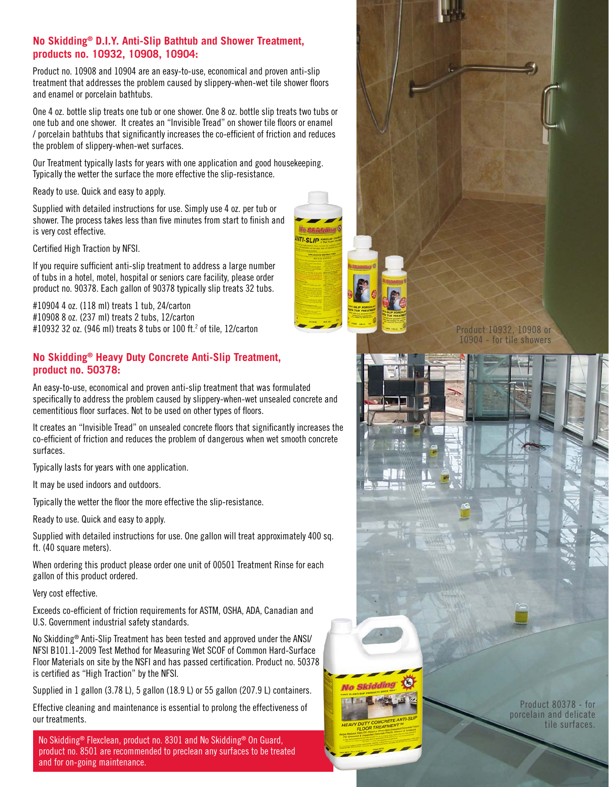#### **No Skidding® D.I.Y. Anti-Slip Bathtub and Shower Treatment, products no. 10932, 10908, 10904:**

Product no. 10908 and 10904 are an easy-to-use, economical and proven anti-slip treatment that addresses the problem caused by slippery-when-wet tile shower floors and enamel or porcelain bathtubs.

One 4 oz. bottle slip treats one tub or one shower. One 8 oz. bottle slip treats two tubs or one tub and one shower. It creates an "Invisible Tread" on shower tile floors or enamel / porcelain bathtubs that significantly increases the co-efficient of friction and reduces the problem of slippery-when-wet surfaces.

Our Treatment typically lasts for years with one application and good housekeeping. Typically the wetter the surface the more effective the slip-resistance.

Ready to use. Quick and easy to apply.

Supplied with detailed instructions for use. Simply use 4 oz. per tub or shower. The process takes less than five minutes from start to finish and is very cost effective.

Certified High Traction by NFSI.

If you require sufficient anti-slip treatment to address a large number of tubs in a hotel, motel, hospital or seniors care facility, please order product no. 90378. Each gallon of 90378 typically slip treats 32 tubs.

#10904 4 oz. (118 ml) treats 1 tub, 24/carton #10908 8 oz. (237 ml) treats 2 tubs, 12/carton #10932 32 oz. (946 ml) treats 8 tubs or 100 ft.2 of tile, 12/carton

#### **No Skidding® Heavy Duty Concrete Anti-Slip Treatment, product no. 50378:**

An easy-to-use, economical and proven anti-slip treatment that was formulated specifically to address the problem caused by slippery-when-wet unsealed concrete and cementitious floor surfaces. Not to be used on other types of floors.

It creates an "Invisible Tread" on unsealed concrete floors that significantly increases the co-efficient of friction and reduces the problem of dangerous when wet smooth concrete surfaces.

Typically lasts for years with one application.

It may be used indoors and outdoors.

Typically the wetter the floor the more effective the slip-resistance.

Ready to use. Quick and easy to apply.

Supplied with detailed instructions for use. One gallon will treat approximately 400 sq. ft. (40 square meters).

When ordering this product please order one unit of 00501 Treatment Rinse for each gallon of this product ordered.

Very cost effective.

Exceeds co-efficient of friction requirements for ASTM, OSHA, ADA, Canadian and U.S. Government industrial safety standards.

No Skidding® Anti-Slip Treatment has been tested and approved under the ANSI/ NFSI B101.1-2009 Test Method for Measuring Wet SCOF of Common Hard-Surface Floor Materials on site by the NSFI and has passed certification. Product no. 50378 is certified as "High Traction" by the NFSI.

Supplied in 1 gallon (3.78 L), 5 gallon (18.9 L) or 55 gallon (207.9 L) containers.

Effective cleaning and maintenance is essential to prolong the effectiveness of our treatments.

No Skidding® Flexclean, product no. 8301 and No Skidding® On Guard, product no. 8501 are recommended to preclean any surfaces to be treated and for on-going maintenance.



Product 10932, 10908 or 10904 - for tile showers



Product 80378 - for porcelain and delicate tile surfaces.